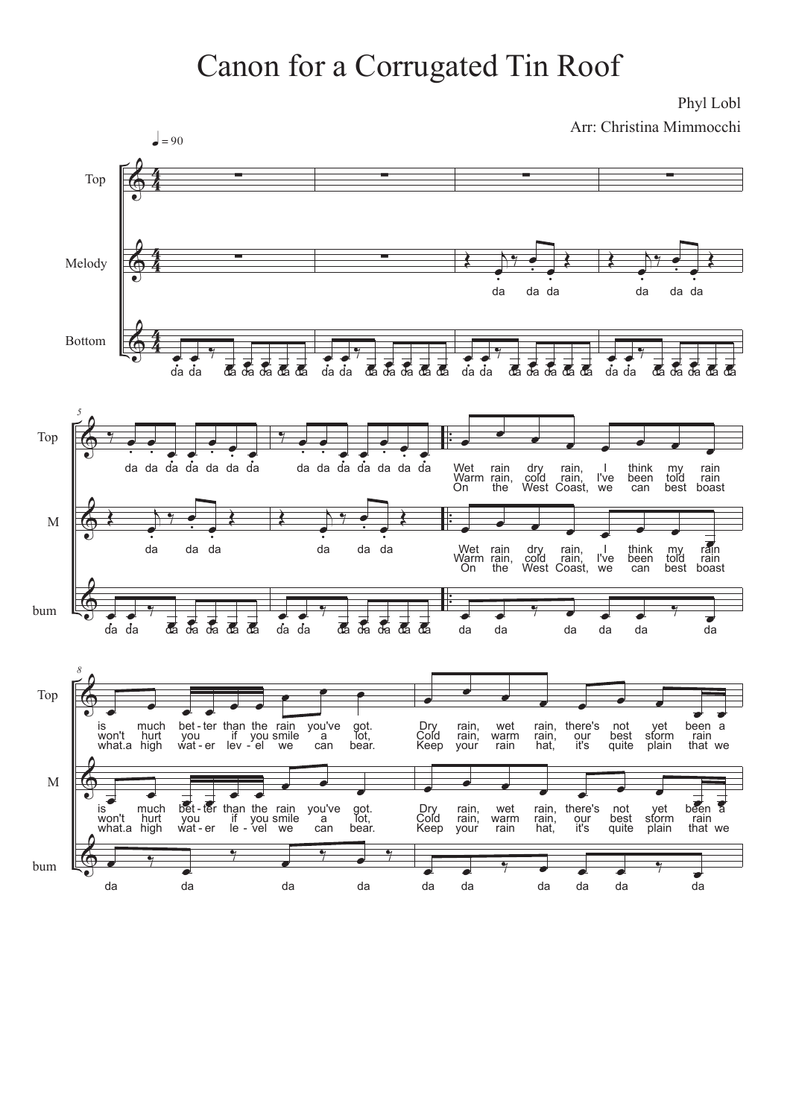## Canon for a Corrugated Tin Roof

Phyl Lobl Arr: Christina Mimmocchi